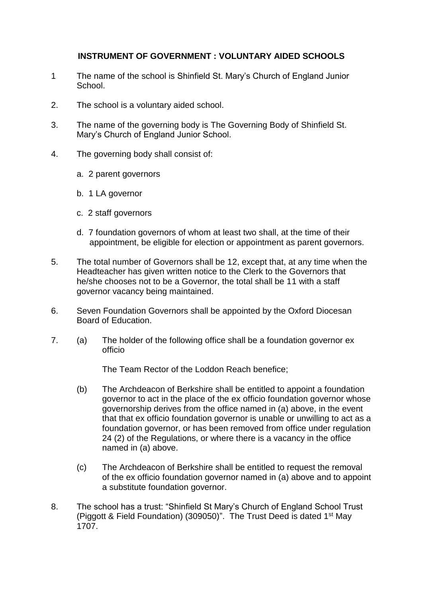## **INSTRUMENT OF GOVERNMENT : VOLUNTARY AIDED SCHOOLS**

- 1 The name of the school is Shinfield St. Mary's Church of England Junior School.
- 2. The school is a voluntary aided school.
- 3. The name of the governing body is The Governing Body of Shinfield St. Mary's Church of England Junior School.
- 4. The governing body shall consist of:
	- a. 2 parent governors
	- b. 1 LA governor
	- c. 2 staff governors
	- d. 7 foundation governors of whom at least two shall, at the time of their appointment, be eligible for election or appointment as parent governors.
- 5. The total number of Governors shall be 12, except that, at any time when the Headteacher has given written notice to the Clerk to the Governors that he/she chooses not to be a Governor, the total shall be 11 with a staff governor vacancy being maintained.
- 6. Seven Foundation Governors shall be appointed by the Oxford Diocesan Board of Education.
- 7. (a) The holder of the following office shall be a foundation governor ex officio

The Team Rector of the Loddon Reach benefice;

- (b) The Archdeacon of Berkshire shall be entitled to appoint a foundation governor to act in the place of the ex officio foundation governor whose governorship derives from the office named in (a) above, in the event that that ex officio foundation governor is unable or unwilling to act as a foundation governor, or has been removed from office under regulation 24 (2) of the Regulations, or where there is a vacancy in the office named in (a) above.
- (c) The Archdeacon of Berkshire shall be entitled to request the removal of the ex officio foundation governor named in (a) above and to appoint a substitute foundation governor.
- 8. The school has a trust: "Shinfield St Mary's Church of England School Trust (Piggott & Field Foundation) (309050)". The Trust Deed is dated 1st May 1707.